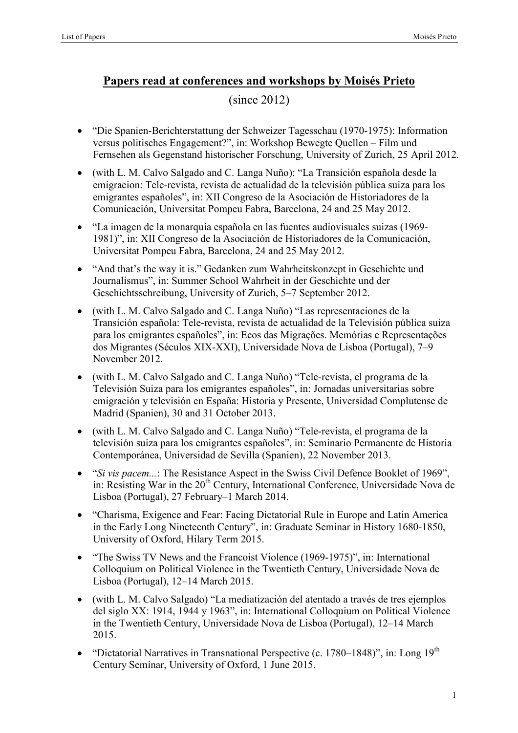## **Papers read at conferences and workshops by Moisés Prieto**

## (since 2012)

- "Die Spanien-Berichterstattung der Schweizer Tagesschau (1970-1975): Information versus politisches Engagement?", in: Workshop Bewegte Quellen – Film und Fernsehen als Gegenstand historischer Forschung, University of Zurich, 25 April 2012.
- (with L. M. Calvo Salgado and C. Langa Nuño): "La Transición española desde la emigracion: Tele-revista, revista de actualidad de la televisión pública suiza para los emigrantes españoles", in: XII Congreso de la Asociación de Historiadores de la Comunicación, Universitat Pompeu Fabra, Barcelona, 24 and 25 May 2012.
- "La imagen de la monarquía española en las fuentes audiovisuales suizas (1969- 1981)", in: XII Congreso de la Asociación de Historiadores de la Comunicación, Universitat Pompeu Fabra, Barcelona, 24 and 25 May 2012.
- "And that's the way it is." Gedanken zum Wahrheitskonzept in Geschichte und Journalismus", in: Summer School Wahrheit in der Geschichte und der Geschichtsschreibung, University of Zurich, 5–7 September 2012.
- (with L. M. Calvo Salgado and C. Langa Nuño) "Las representaciones de la Transición española: Tele-revista, revista de actualidad de la Televisión pública suiza para los emigrantes españoles", in: Ecos das Migrações. Memórias e Representações dos Migrantes (Séculos XIX-XXI), Universidade Nova de Lisboa (Portugal), 7–9 November 2012.
- (with L. M. Calvo Salgado and C. Langa Nuño) "Tele-revista, el programa de la Televisión Suiza para los emigrantes españoles", in: Jornadas universitarias sobre emigración y televisión en España: Historia y Presente, Universidad Complutense de Madrid (Spanien), 30 and 31 October 2013.
- (with L. M. Calvo Salgado and C. Langa Nuño) "Tele-revista, el programa de la televisión suiza para los emigrantes españoles", in: Seminario Permanente de Historia Contemporánea, Universidad de Sevilla (Spanien), 22 November 2013.
- "*Si vis pacem...*: The Resistance Aspect in the Swiss Civil Defence Booklet of 1969", in: Resisting War in the  $20<sup>th</sup>$  Century, International Conference, Universidade Nova de Lisboa (Portugal), 27 February–1 March 2014.
- "Charisma, Exigence and Fear: Facing Dictatorial Rule in Europe and Latin America in the Early Long Nineteenth Century", in: Graduate Seminar in History 1680-1850, University of Oxford, Hilary Term 2015.
- "The Swiss TV News and the Francoist Violence (1969-1975)", in: International Colloquium on Political Violence in the Twentieth Century, Universidade Nova de Lisboa (Portugal), 12–14 March 2015.
- (with L. M. Calvo Salgado) "La mediatización del atentado a través de tres ejemplos del siglo XX: 1914, 1944 y 1963", in: International Colloquium on Political Violence in the Twentieth Century, Universidade Nova de Lisboa (Portugal), 12–14 March 2015.
- "Dictatorial Narratives in Transnational Perspective (c. 1780–1848)", in: Long  $19<sup>th</sup>$ Century Seminar, University of Oxford, 1 June 2015.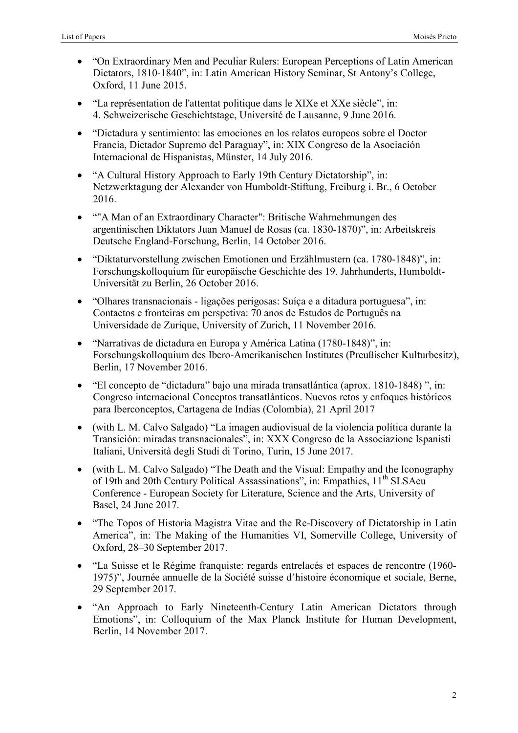- "On Extraordinary Men and Peculiar Rulers: European Perceptions of Latin American Dictators, 1810-1840", in: Latin American History Seminar, St Antony's College, Oxford, 11 June 2015.
- "La représentation de l'attentat politique dans le XIXe et XXe siècle", in: 4. Schweizerische Geschichtstage, Université de Lausanne, 9 June 2016.
- "Dictadura y sentimiento: las emociones en los relatos europeos sobre el Doctor Francia, Dictador Supremo del Paraguay", in: XIX Congreso de la Asociación Internacional de Hispanistas, Münster, 14 July 2016.
- "A Cultural History Approach to Early 19th Century Dictatorship", in: Netzwerktagung der Alexander von Humboldt-Stiftung, Freiburg i. Br., 6 October 2016.
- ""A Man of an Extraordinary Character": Britische Wahrnehmungen des argentinischen Diktators Juan Manuel de Rosas (ca. 1830-1870)", in: Arbeitskreis Deutsche England-Forschung, Berlin, 14 October 2016.
- "Diktaturvorstellung zwischen Emotionen und Erzählmustern (ca. 1780-1848)", in: Forschungskolloquium für europäische Geschichte des 19. Jahrhunderts, Humboldt-Universität zu Berlin, 26 October 2016.
- "Olhares transnacionais ligações perigosas: Suíça e a ditadura portuguesa", in: Contactos e fronteiras em perspetiva: 70 anos de Estudos de Português na Universidade de Zurique, University of Zurich, 11 November 2016.
- "Narrativas de dictadura en Europa y América Latina (1780-1848)", in: Forschungskolloquium des Ibero-Amerikanischen Institutes (Preußischer Kulturbesitz), Berlin, 17 November 2016.
- "El concepto de "dictadura" bajo una mirada transatlántica (aprox. 1810-1848) ", in: Congreso internacional Conceptos transatlánticos. Nuevos retos y enfoques históricos para Iberconceptos, Cartagena de Indias (Colombia), 21 April 2017
- (with L. M. Calvo Salgado) "La imagen audiovisual de la violencia política durante la Transición: miradas transnacionales", in: XXX Congreso de la Associazione Ispanisti Italiani, Università degli Studi di Torino, Turin, 15 June 2017.
- (with L. M. Calvo Salgado) "The Death and the Visual: Empathy and the Iconography of 19th and 20th Century Political Assassinations", in: Empathies, 11<sup>th</sup> SLSAeu Conference - European Society for Literature, Science and the Arts, University of Basel, 24 June 2017.
- "The Topos of Historia Magistra Vitae and the Re-Discovery of Dictatorship in Latin America", in: The Making of the Humanities VI, Somerville College, University of Oxford, 28–30 September 2017.
- "La Suisse et le Régime franquiste: regards entrelacés et espaces de rencontre (1960- 1975)", Journée annuelle de la Société suisse d'histoire économique et sociale, Berne, 29 September 2017.
- "An Approach to Early Nineteenth-Century Latin American Dictators through Emotions", in: Colloquium of the Max Planck Institute for Human Development, Berlin, 14 November 2017.